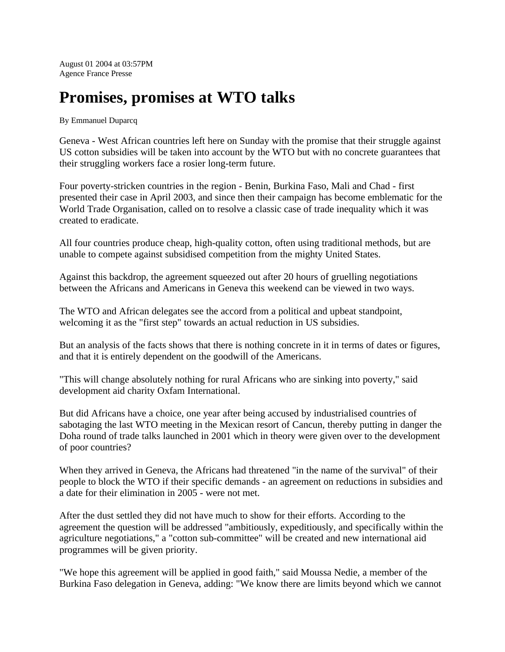August 01 2004 at 03:57PM Agence France Presse

## **Promises, promises at WTO talks**

By Emmanuel Duparcq

Geneva - West African countries left here on Sunday with the promise that their struggle against US cotton subsidies will be taken into account by the WTO but with no concrete guarantees that their struggling workers face a rosier long-term future.

Four poverty-stricken countries in the region - Benin, Burkina Faso, Mali and Chad - first presented their case in April 2003, and since then their campaign has become emblematic for the World Trade Organisation, called on to resolve a classic case of trade inequality which it was created to eradicate.

All four countries produce cheap, high-quality cotton, often using traditional methods, but are unable to compete against subsidised competition from the mighty United States.

Against this backdrop, the agreement squeezed out after 20 hours of gruelling negotiations between the Africans and Americans in Geneva this weekend can be viewed in two ways.

The WTO and African delegates see the accord from a political and upbeat standpoint, welcoming it as the "first step" towards an actual reduction in US subsidies.

But an analysis of the facts shows that there is nothing concrete in it in terms of dates or figures, and that it is entirely dependent on the goodwill of the Americans.

"This will change absolutely nothing for rural Africans who are sinking into poverty," said development aid charity Oxfam International.

But did Africans have a choice, one year after being accused by industrialised countries of sabotaging the last WTO meeting in the Mexican resort of Cancun, thereby putting in danger the Doha round of trade talks launched in 2001 which in theory were given over to the development of poor countries?

When they arrived in Geneva, the Africans had threatened "in the name of the survival" of their people to block the WTO if their specific demands - an agreement on reductions in subsidies and a date for their elimination in 2005 - were not met.

After the dust settled they did not have much to show for their efforts. According to the agreement the question will be addressed "ambitiously, expeditiously, and specifically within the agriculture negotiations," a "cotton sub-committee" will be created and new international aid programmes will be given priority.

"We hope this agreement will be applied in good faith," said Moussa Nedie, a member of the Burkina Faso delegation in Geneva, adding: "We know there are limits beyond which we cannot